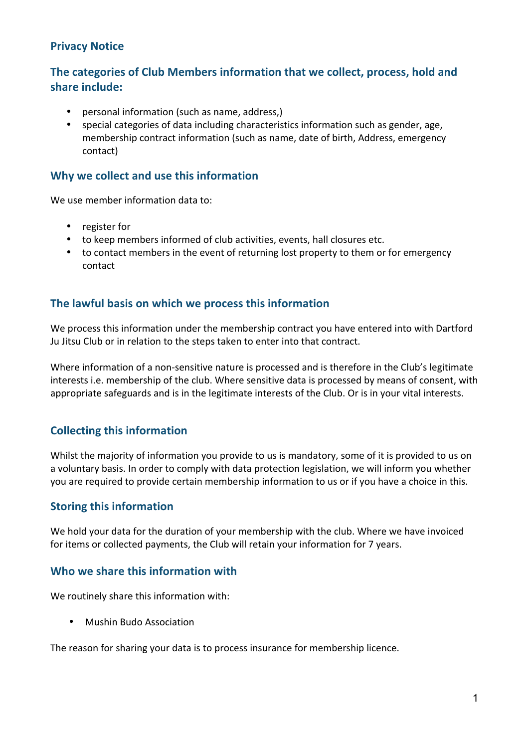## **Privacy Notice**

# The categories of Club Members information that we collect, process, hold and share include:

- personal information (such as name, address,)
- special categories of data including characteristics information such as gender, age, membership contract information (such as name, date of birth, Address, emergency contact)

### **Why we collect and use this information**

We use member information data to:

- register for
- to keep members informed of club activities, events, hall closures etc.
- to contact members in the event of returning lost property to them or for emergency contact

### The lawful basis on which we process this information

We process this information under the membership contract you have entered into with Dartford Ju Jitsu Club or in relation to the steps taken to enter into that contract.

Where information of a non-sensitive nature is processed and is therefore in the Club's legitimate interests i.e. membership of the club. Where sensitive data is processed by means of consent, with appropriate safeguards and is in the legitimate interests of the Club. Or is in your vital interests.

### **Collecting this information**

Whilst the majority of information you provide to us is mandatory, some of it is provided to us on a voluntary basis. In order to comply with data protection legislation, we will inform you whether you are required to provide certain membership information to us or if you have a choice in this.

#### **Storing this information**

We hold your data for the duration of your membership with the club. Where we have invoiced for items or collected payments, the Club will retain your information for 7 years.

#### Who we share this information with

We routinely share this information with:

• Mushin Budo Association

The reason for sharing your data is to process insurance for membership licence.